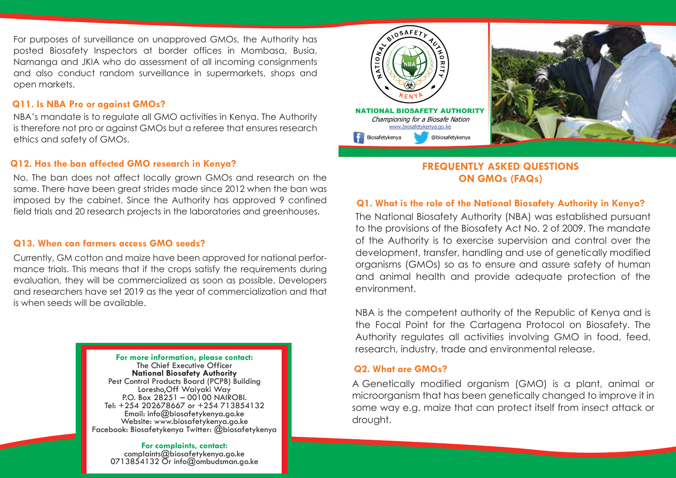For purposes of surveillance on unapproved GMOs, the Authority has posted Biosafety Inspectors at border offices in Mombasa, Busia, Namanga and JKIA who do assessment of all incoming consignments and also conduct random surveillance in supermarkets, shops and open markets.

#### **Q11. Is NBA Pro or against GMOs?**

NBA's mandate is to regulate all GMO activities in Kenya. The Authority is therefore not pro or against GMOs but a referee that ensures research ethics and safety of GMOs.

# **Q12. Has the ban affected GMO research in Kenya?**

No. The ban does not affect locally grown GMOs and research on the same. There have been great strides made since 2012 when the ban was imposed by the cabinet. Since the Authority has approved 9 confined field trials and 20 research projects in the laboratories and greenhouses.

## **Q13. When can farmers access GMO seeds?**

Currently, GM cotton and maize have been approved for national performance trials. This means that if the crops satisfy the requirements during evaluation, they will be commercialized as soon as possible. Developers and researchers have set 2019 as the year of commercialization and that is when seeds will be available.

> **For more information, please contact:**  The Chief Executive Officer **National Biosafety Authority** Pest Control Products Board (PCPB) Building Loresho,Off Waiyaki Way P.O. Box 28251 – 00100 NAIROBI. Tel: +254 202678667 or +254 713854132 Email: info@biosafetykenya.go.ke Facebook: Biosafetykenya Twitter: @biosafetykenya

**For complaints, contact:**<br>complaints@biosafetykenya.go.ke<br>0713854132 Or info@ombudsman.go.ke





# **FREQUENTLY ASKED QUESTIONS ON GMOs (FAQs)**

# **Q1. What is the role of the National Biosafety Authority in Kenya?**

The National Biosafety Authority (NBA) was established pursuant to the provisions of the Biosafety Act No. 2 of 2009. The mandate of the Authority is to exercise supervision and control over the development, transfer, handling and use of genetically modified organisms (GMOs) so as to ensure and assure safety of human and animal health and provide adequate protection of the environment.

NBA is the competent authority of the Republic of Kenya and is the Focal Point for the Cartagena Protocol on Biosafety. The Authority regulates all activities involving GMO in food, feed, research, industry, trade and environmental release.

#### **Q2. What are GMOs?**

A Genetically modified organism (GMO) is a plant, animal or microorganism that has been genetically changed to improve it in some way e.g. maize that can protect itself from insect attack or drought.